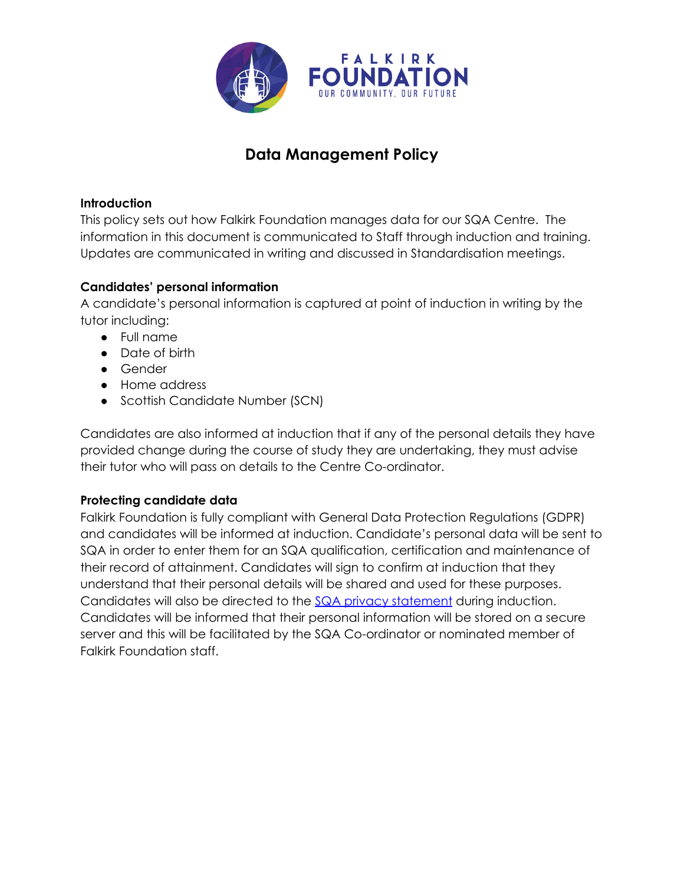

# **Data Management Policy**

#### **Introduction**

This policy sets out how Falkirk Foundation manages data for our SQA Centre. The information in this document is communicated to Staff through induction and training. Updates are communicated in writing and discussed in Standardisation meetings.

## **Candidates' personal information**

A candidate's personal information is captured at point of induction in writing by the tutor including:

- Full name
- Date of birth
- Gender
- Home address
- Scottish Candidate Number (SCN)

Candidates are also informed at induction that if any of the personal details they have provided change during the course of study they are undertaking, they must advise their tutor who will pass on details to the Centre Co-ordinator.

#### **Protecting candidate data**

Falkirk Foundation is fully compliant with General Data Protection Regulations (GDPR) and candidates will be informed at induction. Candidate's personal data will be sent to SQA in order to enter them for an SQA qualification, certification and maintenance of their record of attainment. Candidates will sign to confirm at induction that they understand that their personal details will be shared and used for these purposes. Candidates will also be directed to the SQA privacy [statement](https://www.sqa.org.uk/sqa/97458.html) during induction. Candidates will be informed that their personal information will be stored on a secure server and this will be facilitated by the SQA Co-ordinator or nominated member of Falkirk Foundation staff.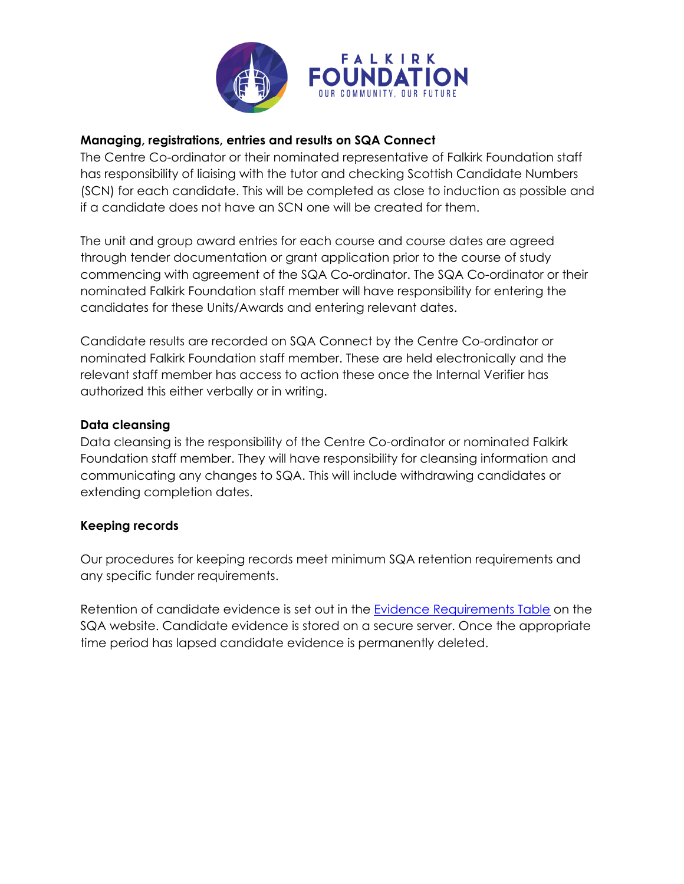

### **Managing, registrations, entries and results on SQA Connect**

The Centre Co-ordinator or their nominated representative of Falkirk Foundation staff has responsibility of liaising with the tutor and checking Scottish Candidate Numbers (SCN) for each candidate. This will be completed as close to induction as possible and if a candidate does not have an SCN one will be created for them.

The unit and group award entries for each course and course dates are agreed through tender documentation or grant application prior to the course of study commencing with agreement of the SQA Co-ordinator. The SQA Co-ordinator or their nominated Falkirk Foundation staff member will have responsibility for entering the candidates for these Units/Awards and entering relevant dates.

Candidate results are recorded on SQA Connect by the Centre Co-ordinator or nominated Falkirk Foundation staff member. These are held electronically and the relevant staff member has access to action these once the Internal Verifier has authorized this either verbally or in writing.

#### **Data cleansing**

Data cleansing is the responsibility of the Centre Co-ordinator or nominated Falkirk Foundation staff member. They will have responsibility for cleansing information and communicating any changes to SQA. This will include withdrawing candidates or extending completion dates.

#### **Keeping records**

Our procedures for keeping records meet minimum SQA retention requirements and any specific funder requirements.

Retention of candidate evidence is set out in the Evidence [Requirements](https://www.sqa.org.uk/files_ccc/SQA_Evidence_retention_requirements.pdf) Table on the SQA website. Candidate evidence is stored on a secure server. Once the appropriate time period has lapsed candidate evidence is permanently deleted.